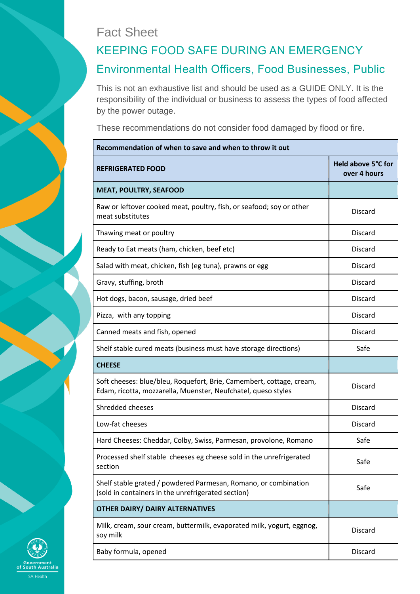## Fact Sheet

## KEEPING FOOD SAFE DURING AN EMERGENCY Environmental Health Officers, Food Businesses, Public

This is not an exhaustive list and should be used as a GUIDE ONLY. It is the responsibility of the individual or business to assess the types of food affected by the power outage.

These recommendations do not consider food damaged by flood or fire.

| Recommendation of when to save and when to throw it out                                                                               |                                    |  |
|---------------------------------------------------------------------------------------------------------------------------------------|------------------------------------|--|
| <b>REFRIGERATED FOOD</b>                                                                                                              | Held above 5°C for<br>over 4 hours |  |
| <b>MEAT, POULTRY, SEAFOOD</b>                                                                                                         |                                    |  |
| Raw or leftover cooked meat, poultry, fish, or seafood; soy or other<br>meat substitutes                                              | <b>Discard</b>                     |  |
| Thawing meat or poultry                                                                                                               | <b>Discard</b>                     |  |
| Ready to Eat meats (ham, chicken, beef etc)                                                                                           | <b>Discard</b>                     |  |
| Salad with meat, chicken, fish (eg tuna), prawns or egg                                                                               | <b>Discard</b>                     |  |
| Gravy, stuffing, broth                                                                                                                | <b>Discard</b>                     |  |
| Hot dogs, bacon, sausage, dried beef                                                                                                  | <b>Discard</b>                     |  |
| Pizza, with any topping                                                                                                               | <b>Discard</b>                     |  |
| Canned meats and fish, opened                                                                                                         | <b>Discard</b>                     |  |
| Shelf stable cured meats (business must have storage directions)                                                                      | Safe                               |  |
| <b>CHEESE</b>                                                                                                                         |                                    |  |
| Soft cheeses: blue/bleu, Roquefort, Brie, Camembert, cottage, cream,<br>Edam, ricotta, mozzarella, Muenster, Neufchatel, queso styles | <b>Discard</b>                     |  |
| <b>Shredded cheeses</b>                                                                                                               | <b>Discard</b>                     |  |
| Low-fat cheeses                                                                                                                       | <b>Discard</b>                     |  |
| Hard Cheeses: Cheddar, Colby, Swiss, Parmesan, provolone, Romano                                                                      | Safe                               |  |
| Processed shelf stable cheeses eg cheese sold in the unrefrigerated<br>section                                                        | Safe                               |  |
| Shelf stable grated / powdered Parmesan, Romano, or combination<br>(sold in containers in the unrefrigerated section)                 | Safe                               |  |
| <b>OTHER DAIRY/ DAIRY ALTERNATIVES</b>                                                                                                |                                    |  |
| Milk, cream, sour cream, buttermilk, evaporated milk, yogurt, eggnog,<br>soy milk                                                     | <b>Discard</b>                     |  |
| Baby formula, opened                                                                                                                  | Discard                            |  |

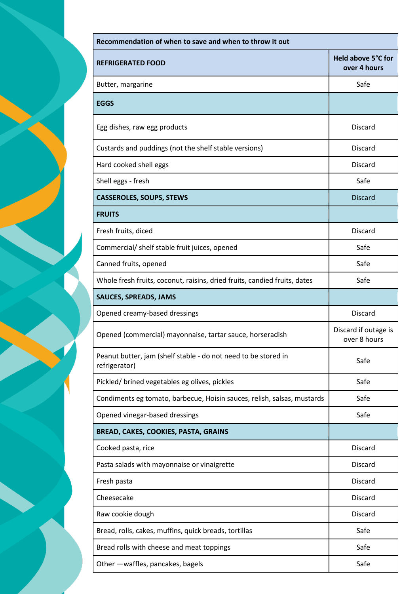| Recommendation of when to save and when to throw it out                         |                                      |  |
|---------------------------------------------------------------------------------|--------------------------------------|--|
| <b>REFRIGERATED FOOD</b>                                                        | Held above 5°C for<br>over 4 hours   |  |
| Butter, margarine                                                               | Safe                                 |  |
| <b>EGGS</b>                                                                     |                                      |  |
| Egg dishes, raw egg products                                                    | <b>Discard</b>                       |  |
| Custards and puddings (not the shelf stable versions)                           | <b>Discard</b>                       |  |
| Hard cooked shell eggs                                                          | <b>Discard</b>                       |  |
| Shell eggs - fresh                                                              | Safe                                 |  |
| <b>CASSEROLES, SOUPS, STEWS</b>                                                 | <b>Discard</b>                       |  |
| <b>FRUITS</b>                                                                   |                                      |  |
| Fresh fruits, diced                                                             | <b>Discard</b>                       |  |
| Commercial/ shelf stable fruit juices, opened                                   | Safe                                 |  |
| Canned fruits, opened                                                           | Safe                                 |  |
| Whole fresh fruits, coconut, raisins, dried fruits, candied fruits, dates       | Safe                                 |  |
| <b>SAUCES, SPREADS, JAMS</b>                                                    |                                      |  |
| Opened creamy-based dressings                                                   | <b>Discard</b>                       |  |
| Opened (commercial) mayonnaise, tartar sauce, horseradish                       | Discard if outage is<br>over 8 hours |  |
| Peanut butter, jam (shelf stable - do not need to be stored in<br>refrigerator) | Safe                                 |  |
| Pickled/ brined vegetables eg olives, pickles                                   | Safe                                 |  |
| Condiments eg tomato, barbecue, Hoisin sauces, relish, salsas, mustards         | Safe                                 |  |
| Opened vinegar-based dressings                                                  | Safe                                 |  |
| BREAD, CAKES, COOKIES, PASTA, GRAINS                                            |                                      |  |
| Cooked pasta, rice                                                              | <b>Discard</b>                       |  |
| Pasta salads with mayonnaise or vinaigrette                                     | <b>Discard</b>                       |  |
| Fresh pasta                                                                     | <b>Discard</b>                       |  |
| Cheesecake                                                                      | <b>Discard</b>                       |  |
| Raw cookie dough                                                                | <b>Discard</b>                       |  |
| Bread, rolls, cakes, muffins, quick breads, tortillas                           | Safe                                 |  |
| Bread rolls with cheese and meat toppings                                       | Safe                                 |  |
| Other - waffles, pancakes, bagels                                               | Safe                                 |  |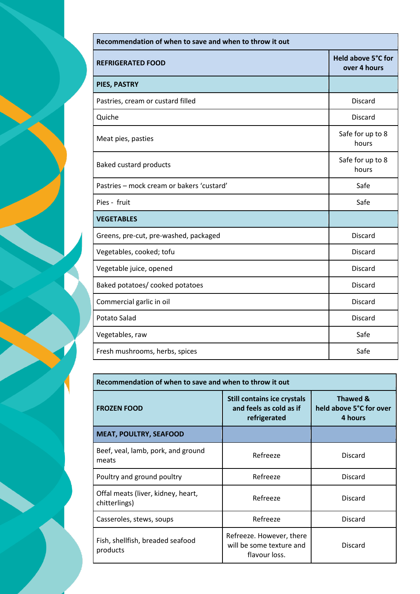| Recommendation of when to save and when to throw it out |                                    |  |
|---------------------------------------------------------|------------------------------------|--|
| <b>REFRIGERATED FOOD</b>                                | Held above 5°C for<br>over 4 hours |  |
| PIES, PASTRY                                            |                                    |  |
| Pastries, cream or custard filled                       | <b>Discard</b>                     |  |
| Quiche                                                  | <b>Discard</b>                     |  |
| Meat pies, pasties                                      | Safe for up to 8<br>hours          |  |
| Baked custard products                                  | Safe for up to 8<br>hours          |  |
| Pastries - mock cream or bakers 'custard'               | Safe                               |  |
| Pies - fruit                                            | Safe                               |  |
| <b>VEGETABLES</b>                                       |                                    |  |
| Greens, pre-cut, pre-washed, packaged                   | <b>Discard</b>                     |  |
| Vegetables, cooked; tofu                                | <b>Discard</b>                     |  |
| Vegetable juice, opened                                 | <b>Discard</b>                     |  |
| Baked potatoes/ cooked potatoes                         | <b>Discard</b>                     |  |
| Commercial garlic in oil                                | <b>Discard</b>                     |  |
| <b>Potato Salad</b>                                     | <b>Discard</b>                     |  |
| Vegetables, raw                                         | Safe                               |  |
| Fresh mushrooms, herbs, spices                          | Safe                               |  |

| Recommendation of when to save and when to throw it out |                                                                               |                                                |
|---------------------------------------------------------|-------------------------------------------------------------------------------|------------------------------------------------|
| <b>FROZEN FOOD</b>                                      | <b>Still contains ice crystals</b><br>and feels as cold as if<br>refrigerated | Thawed &<br>held above 5°C for over<br>4 hours |
| <b>MEAT, POULTRY, SEAFOOD</b>                           |                                                                               |                                                |
| Beef, veal, lamb, pork, and ground<br>meats             | Refreeze                                                                      | <b>Discard</b>                                 |
| Poultry and ground poultry                              | Refreeze                                                                      | <b>Discard</b>                                 |
| Offal meats (liver, kidney, heart,<br>chitterlings)     | Refreeze                                                                      | <b>Discard</b>                                 |
| Casseroles, stews, soups                                | Refreeze                                                                      | <b>Discard</b>                                 |
| Fish, shellfish, breaded seafood<br>products            | Refreeze. However, there<br>will be some texture and<br>flavour loss.         | <b>Discard</b>                                 |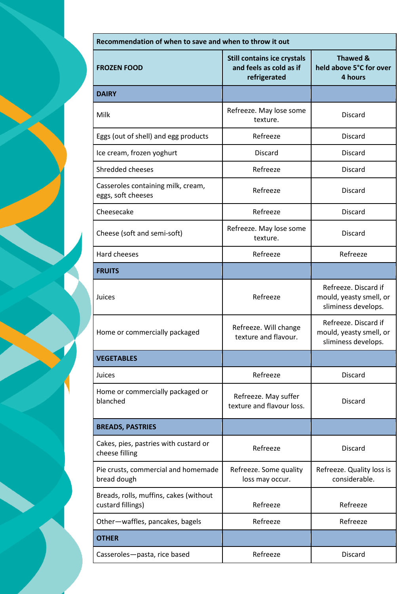| Recommendation of when to save and when to throw it out     |                                                                               |                                                                        |
|-------------------------------------------------------------|-------------------------------------------------------------------------------|------------------------------------------------------------------------|
| <b>FROZEN FOOD</b>                                          | <b>Still contains ice crystals</b><br>and feels as cold as if<br>refrigerated | <b>Thawed &amp;</b><br>held above 5°C for over<br>4 hours              |
| <b>DAIRY</b>                                                |                                                                               |                                                                        |
| Milk                                                        | Refreeze. May lose some<br>texture.                                           | <b>Discard</b>                                                         |
| Eggs (out of shell) and egg products                        | Refreeze                                                                      | <b>Discard</b>                                                         |
| Ice cream, frozen yoghurt                                   | <b>Discard</b>                                                                | <b>Discard</b>                                                         |
| Shredded cheeses                                            | Refreeze                                                                      | <b>Discard</b>                                                         |
| Casseroles containing milk, cream,<br>eggs, soft cheeses    | Refreeze                                                                      | <b>Discard</b>                                                         |
| Cheesecake                                                  | Refreeze                                                                      | <b>Discard</b>                                                         |
| Cheese (soft and semi-soft)                                 | Refreeze. May lose some<br>texture.                                           | <b>Discard</b>                                                         |
| Hard cheeses                                                | Refreeze                                                                      | Refreeze                                                               |
| <b>FRUITS</b>                                               |                                                                               |                                                                        |
| Juices                                                      | Refreeze                                                                      | Refreeze. Discard if<br>mould, yeasty smell, or<br>sliminess develops. |
| Home or commercially packaged                               | Refreeze. Will change<br>texture and flavour.                                 | Refreeze. Discard if<br>mould, yeasty smell, or<br>sliminess develops. |
| <b>VEGETABLES</b>                                           |                                                                               |                                                                        |
| Juices                                                      | Refreeze                                                                      | <b>Discard</b>                                                         |
| Home or commercially packaged or<br>blanched                | Refreeze. May suffer<br>texture and flavour loss.                             | <b>Discard</b>                                                         |
| <b>BREADS, PASTRIES</b>                                     |                                                                               |                                                                        |
| Cakes, pies, pastries with custard or<br>cheese filling     | Refreeze                                                                      | <b>Discard</b>                                                         |
| Pie crusts, commercial and homemade<br>bread dough          | Refreeze. Some quality<br>loss may occur.                                     | Refreeze. Quality loss is<br>considerable.                             |
| Breads, rolls, muffins, cakes (without<br>custard fillings) | Refreeze                                                                      | Refreeze                                                               |
| Other-waffles, pancakes, bagels                             | Refreeze                                                                      | Refreeze                                                               |
| <b>OTHER</b>                                                |                                                                               |                                                                        |
| Casseroles-pasta, rice based                                | Refreeze                                                                      | <b>Discard</b>                                                         |